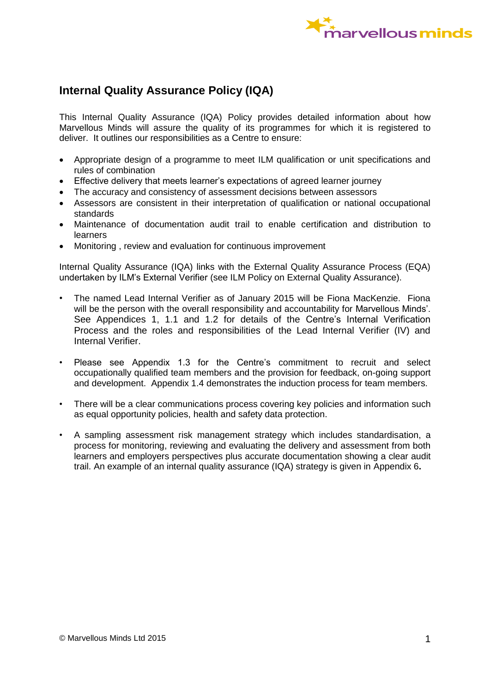

# **Internal Quality Assurance Policy (IQA)**

This Internal Quality Assurance (IQA) Policy provides detailed information about how Marvellous Minds will assure the quality of its programmes for which it is registered to deliver. It outlines our responsibilities as a Centre to ensure:

- Appropriate design of a programme to meet ILM qualification or unit specifications and rules of combination
- Effective delivery that meets learner's expectations of agreed learner journey
- The accuracy and consistency of assessment decisions between assessors
- Assessors are consistent in their interpretation of qualification or national occupational standards
- Maintenance of documentation audit trail to enable certification and distribution to learners
- Monitoring , review and evaluation for continuous improvement

Internal Quality Assurance (IQA) links with the External Quality Assurance Process (EQA) undertaken by ILM's External Verifier (see ILM Policy on External Quality Assurance).

- The named Lead Internal Verifier as of January 2015 will be Fiona MacKenzie. Fiona will be the person with the overall responsibility and accountability for Marvellous Minds'. See Appendices 1, 1.1 and 1.2 for details of the Centre's Internal Verification Process and the roles and responsibilities of the Lead Internal Verifier (IV) and Internal Verifier.
- Please see Appendix 1.3 for the Centre's commitment to recruit and select occupationally qualified team members and the provision for feedback, on-going support and development. Appendix 1.4 demonstrates the induction process for team members.
- There will be a clear communications process covering key policies and information such as equal opportunity policies, health and safety data protection.
- A sampling assessment risk management strategy which includes standardisation, a process for monitoring, reviewing and evaluating the delivery and assessment from both learners and employers perspectives plus accurate documentation showing a clear audit trail. An example of an internal quality assurance (IQA) strategy is given in Appendix 6**.**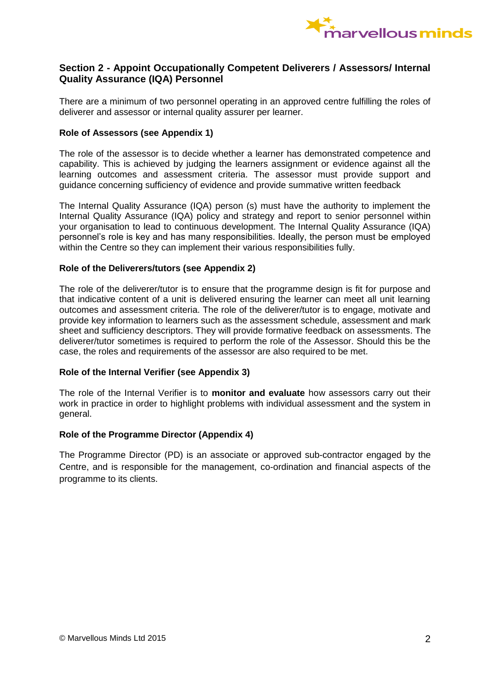

# **Section 2 - Appoint Occupationally Competent Deliverers / Assessors/ Internal Quality Assurance (IQA) Personnel**

There are a minimum of two personnel operating in an approved centre fulfilling the roles of deliverer and assessor or internal quality assurer per learner.

### **Role of Assessors (see Appendix 1)**

The role of the assessor is to decide whether a learner has demonstrated competence and capability. This is achieved by judging the learners assignment or evidence against all the learning outcomes and assessment criteria. The assessor must provide support and guidance concerning sufficiency of evidence and provide summative written feedback

The Internal Quality Assurance (IQA) person (s) must have the authority to implement the Internal Quality Assurance (IQA) policy and strategy and report to senior personnel within your organisation to lead to continuous development. The Internal Quality Assurance (IQA) personnel's role is key and has many responsibilities. Ideally, the person must be employed within the Centre so they can implement their various responsibilities fully.

### **Role of the Deliverers/tutors (see Appendix 2)**

The role of the deliverer/tutor is to ensure that the programme design is fit for purpose and that indicative content of a unit is delivered ensuring the learner can meet all unit learning outcomes and assessment criteria. The role of the deliverer/tutor is to engage, motivate and provide key information to learners such as the assessment schedule, assessment and mark sheet and sufficiency descriptors. They will provide formative feedback on assessments. The deliverer/tutor sometimes is required to perform the role of the Assessor. Should this be the case, the roles and requirements of the assessor are also required to be met.

### **Role of the Internal Verifier (see Appendix 3)**

The role of the Internal Verifier is to **monitor and evaluate** how assessors carry out their work in practice in order to highlight problems with individual assessment and the system in general.

### **Role of the Programme Director (Appendix 4)**

The Programme Director (PD) is an associate or approved sub-contractor engaged by the Centre, and is responsible for the management, co-ordination and financial aspects of the programme to its clients.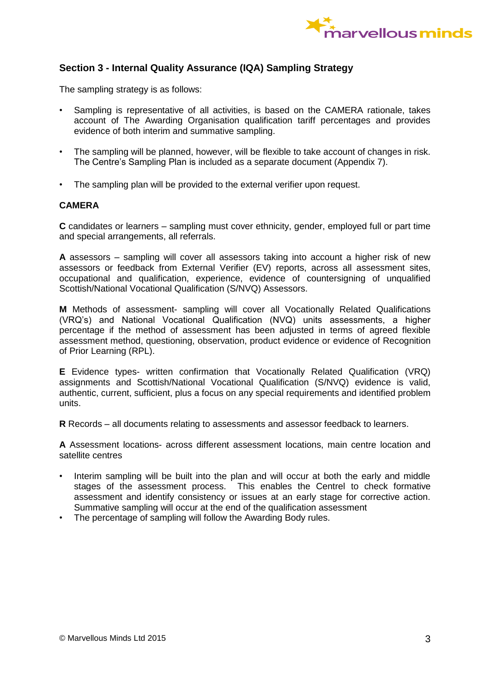

# **Section 3 - Internal Quality Assurance (IQA) Sampling Strategy**

The sampling strategy is as follows:

- Sampling is representative of all activities, is based on the CAMERA rationale, takes account of The Awarding Organisation qualification tariff percentages and provides evidence of both interim and summative sampling.
- The sampling will be planned, however, will be flexible to take account of changes in risk. The Centre's Sampling Plan is included as a separate document (Appendix 7).
- The sampling plan will be provided to the external verifier upon request.

### **CAMERA**

**C** candidates or learners – sampling must cover ethnicity, gender, employed full or part time and special arrangements, all referrals.

**A** assessors – sampling will cover all assessors taking into account a higher risk of new assessors or feedback from External Verifier (EV) reports, across all assessment sites, occupational and qualification, experience, evidence of countersigning of unqualified Scottish/National Vocational Qualification (S/NVQ) Assessors.

**M** Methods of assessment- sampling will cover all Vocationally Related Qualifications (VRQ's) and National Vocational Qualification (NVQ) units assessments, a higher percentage if the method of assessment has been adjusted in terms of agreed flexible assessment method, questioning, observation, product evidence or evidence of Recognition of Prior Learning (RPL).

**E** Evidence types- written confirmation that Vocationally Related Qualification (VRQ) assignments and Scottish/National Vocational Qualification (S/NVQ) evidence is valid, authentic, current, sufficient, plus a focus on any special requirements and identified problem units.

**R** Records – all documents relating to assessments and assessor feedback to learners.

**A** Assessment locations- across different assessment locations, main centre location and satellite centres

- Interim sampling will be built into the plan and will occur at both the early and middle stages of the assessment process. This enables the Centrel to check formative assessment and identify consistency or issues at an early stage for corrective action. Summative sampling will occur at the end of the qualification assessment
- The percentage of sampling will follow the Awarding Body rules.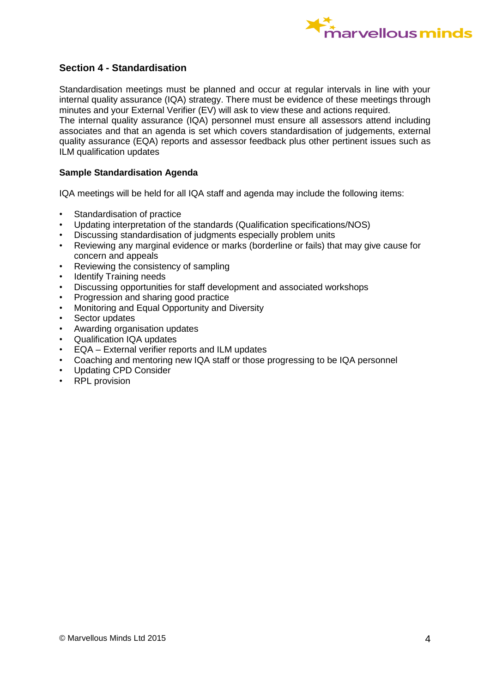

# **Section 4 - Standardisation**

Standardisation meetings must be planned and occur at regular intervals in line with your internal quality assurance (IQA) strategy. There must be evidence of these meetings through minutes and your External Verifier (EV) will ask to view these and actions required. The internal quality assurance (IQA) personnel must ensure all assessors attend including

associates and that an agenda is set which covers standardisation of judgements, external quality assurance (EQA) reports and assessor feedback plus other pertinent issues such as ILM qualification updates

### **Sample Standardisation Agenda**

IQA meetings will be held for all IQA staff and agenda may include the following items:

- Standardisation of practice
- Updating interpretation of the standards (Qualification specifications/NOS)
- Discussing standardisation of judgments especially problem units
- Reviewing any marginal evidence or marks (borderline or fails) that may give cause for concern and appeals
- Reviewing the consistency of sampling
- **Identify Training needs**
- Discussing opportunities for staff development and associated workshops
- Progression and sharing good practice
- Monitoring and Equal Opportunity and Diversity
- Sector updates
- Awarding organisation updates
- Qualification IQA updates
- EQA External verifier reports and ILM updates
- Coaching and mentoring new IQA staff or those progressing to be IQA personnel
- Updating CPD Consider
- RPL provision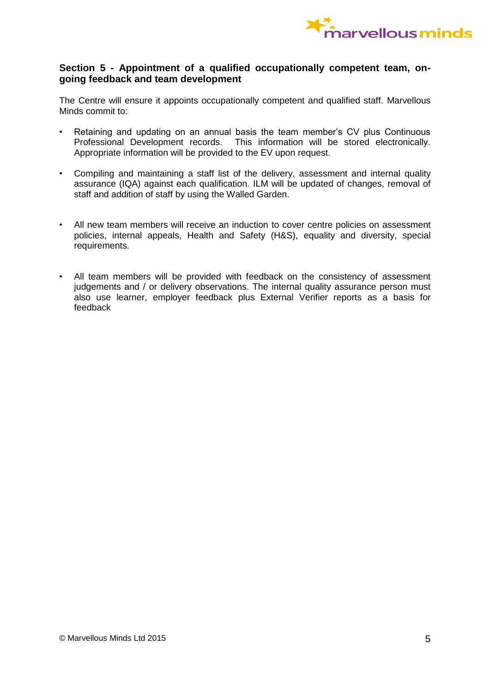

### **Section 5 - Appointment of a qualified occupationally competent team, ongoing feedback and team development**

The Centre will ensure it appoints occupationally competent and qualified staff. Marvellous Minds commit to:

- Retaining and updating on an annual basis the team member's CV plus Continuous Professional Development records. This information will be stored electronically. Appropriate information will be provided to the EV upon request.
- Compiling and maintaining a staff list of the delivery, assessment and internal quality assurance (IQA) against each qualification. ILM will be updated of changes, removal of staff and addition of staff by using the Walled Garden.
- All new team members will receive an induction to cover centre policies on assessment policies, internal appeals, Health and Safety (H&S), equality and diversity, special requirements.
- All team members will be provided with feedback on the consistency of assessment judgements and / or delivery observations. The internal quality assurance person must also use learner, employer feedback plus External Verifier reports as a basis for feedback